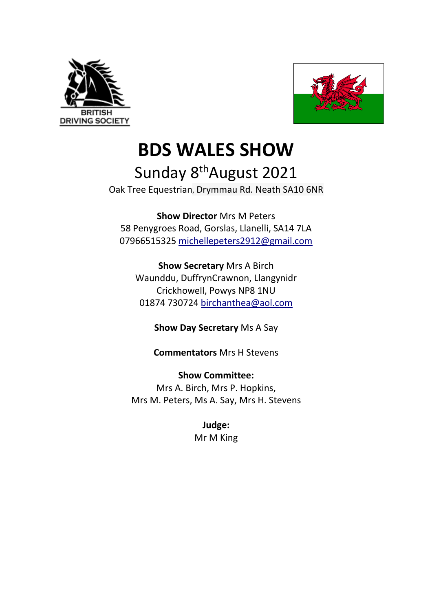



**BDS WALES SHOW**

# Sunday 8<sup>th</sup>August 2021

Oak Tree Equestrian, Drymmau Rd. Neath SA10 6NR

**Show Director** Mrs M Peters 58 Penygroes Road, Gorslas, Llanelli, SA14 7LA 07966515325 michellepeters2912@gmail.com

**Show Secretary** Mrs A Birch Waunddu, DuffrynCrawnon, Llangynidr Crickhowell, Powys NP8 1NU 01874 730724 birchanthea@aol.com

**Show Day Secretary** Ms A Say

**Commentators** Mrs H Stevens

**Show Committee:**  Mrs A. Birch, Mrs P. Hopkins, Mrs M. Peters, Ms A. Say, Mrs H. Stevens

> **Judge:**  Mr M King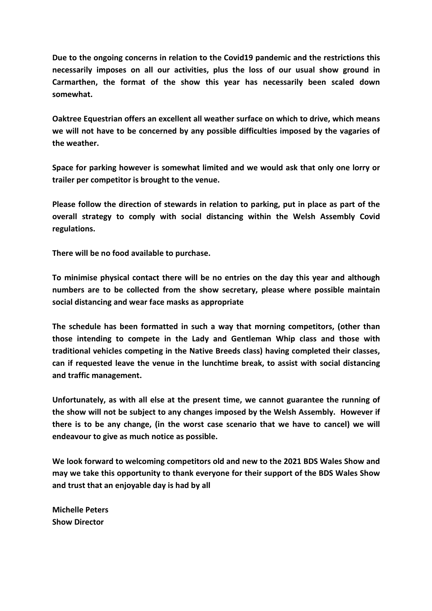**Due to the ongoing concerns in relation to the Covid19 pandemic and the restrictions this necessarily imposes on all our activities, plus the loss of our usual show ground in Carmarthen, the format of the show this year has necessarily been scaled down somewhat.** 

**Oaktree Equestrian offers an excellent all weather surface on which to drive, which means we will not have to be concerned by any possible difficulties imposed by the vagaries of the weather.** 

**Space for parking however is somewhat limited and we would ask that only one lorry or trailer per competitor is brought to the venue.** 

**Please follow the direction of stewards in relation to parking, put in place as part of the overall strategy to comply with social distancing within the Welsh Assembly Covid regulations.** 

**There will be no food available to purchase.** 

**To minimise physical contact there will be no entries on the day this year and although numbers are to be collected from the show secretary, please where possible maintain social distancing and wear face masks as appropriate** 

**The schedule has been formatted in such a way that morning competitors, (other than those intending to compete in the Lady and Gentleman Whip class and those with traditional vehicles competing in the Native Breeds class) having completed their classes, can if requested leave the venue in the lunchtime break, to assist with social distancing and traffic management.** 

**Unfortunately, as with all else at the present time, we cannot guarantee the running of the show will not be subject to any changes imposed by the Welsh Assembly. However if there is to be any change, (in the worst case scenario that we have to cancel) we will endeavour to give as much notice as possible.** 

**We look forward to welcoming competitors old and new to the 2021 BDS Wales Show and may we take this opportunity to thank everyone for their support of the BDS Wales Show and trust that an enjoyable day is had by all** 

**Michelle Peters Show Director**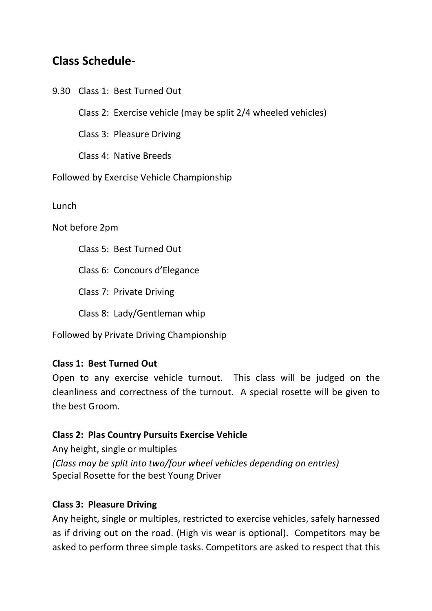## **Class Schedule-**

9.30 Class 1: Best Turned Out

Class 2: Exercise vehicle (may be split 2/4 wheeled vehicles)

Class 3: Pleasure Driving

Class 4: Native Breeds

Followed by Exercise Vehicle Championship

Lunch

Not before 2pm

Class 5: Best Turned Out

Class 6: Concours d'Elegance

Class 7: Private Driving

Class 8: Lady/Gentleman whip

Followed by Private Driving Championship

#### **Class 1: Best Turned Out**

Open to any exercise vehicle turnout. This class will be judged on the cleanliness and correctness of the turnout. A special rosette will be given to the best Groom.

#### **Class 2: Plas Country Pursuits Exercise Vehicle**

Any height, single or multiples *(Class may be split into two/four wheel vehicles depending on entries)* Special Rosette for the best Young Driver

#### **Class 3: Pleasure Driving**

Any height, single or multiples, restricted to exercise vehicles, safely harnessed as if driving out on the road. (High vis wear is optional). Competitors may be asked to perform three simple tasks. Competitors are asked to respect that this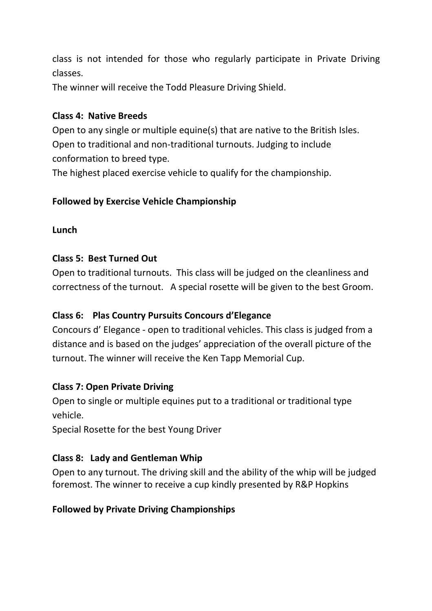class is not intended for those who regularly participate in Private Driving classes.

The winner will receive the Todd Pleasure Driving Shield.

#### **Class 4: Native Breeds**

Open to any single or multiple equine(s) that are native to the British Isles. Open to traditional and non-traditional turnouts. Judging to include conformation to breed type.

The highest placed exercise vehicle to qualify for the championship.

#### **Followed by Exercise Vehicle Championship**

#### **Lunch**

#### **Class 5: Best Turned Out**

Open to traditional turnouts. This class will be judged on the cleanliness and correctness of the turnout. A special rosette will be given to the best Groom.

#### **Class 6: Plas Country Pursuits Concours d'Elegance**

Concours d' Elegance - open to traditional vehicles. This class is judged from a distance and is based on the judges' appreciation of the overall picture of the turnout. The winner will receive the Ken Tapp Memorial Cup.

#### **Class 7: Open Private Driving**

Open to single or multiple equines put to a traditional or traditional type vehicle.

Special Rosette for the best Young Driver

#### **Class 8: Lady and Gentleman Whip**

Open to any turnout. The driving skill and the ability of the whip will be judged foremost. The winner to receive a cup kindly presented by R&P Hopkins

#### **Followed by Private Driving Championships**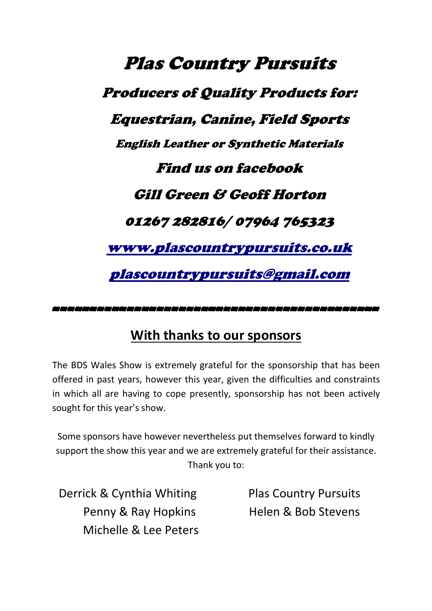Plas Country Pursuits Producers of Quality Products for: Equestrian, Canine, Field Sports English Leather or Synthetic Materials Find us on facebook Gill Green & Geoff Horton 01267 282816/ 07964 765323 www.plascountrypursuits.co.uk plascountrypursuits@gmail.com

# --------------------------------------------

### **With thanks to our sponsors**

The BDS Wales Show is extremely grateful for the sponsorship that has been offered in past years, however this year, given the difficulties and constraints in which all are having to cope presently, sponsorship has not been actively sought for this year's show.

Some sponsors have however nevertheless put themselves forward to kindly support the show this year and we are extremely grateful for their assistance. Thank you to:

Derrick & Cynthia Whiting Penny & Ray Hopkins Michelle & Lee Peters Plas Country Pursuits Helen & Bob Stevens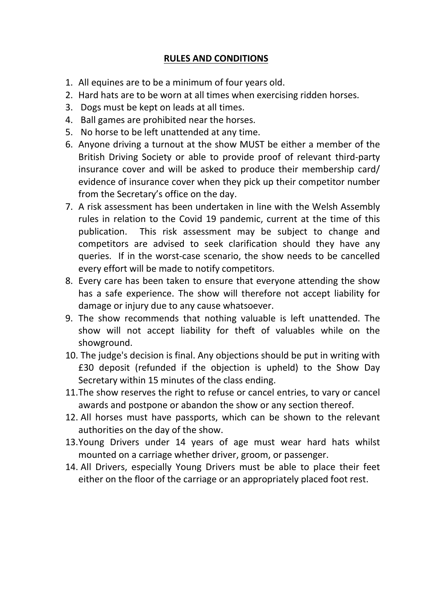#### **RULES AND CONDITIONS**

- 1. All equines are to be a minimum of four years old.
- 2. Hard hats are to be worn at all times when exercising ridden horses.
- 3. Dogs must be kept on leads at all times.
- 4. Ball games are prohibited near the horses.
- 5. No horse to be left unattended at any time.
- 6. Anyone driving a turnout at the show MUST be either a member of the British Driving Society or able to provide proof of relevant third-party insurance cover and will be asked to produce their membership card/ evidence of insurance cover when they pick up their competitor number from the Secretary's office on the day.
- 7. A risk assessment has been undertaken in line with the Welsh Assembly rules in relation to the Covid 19 pandemic, current at the time of this publication. This risk assessment may be subject to change and competitors are advised to seek clarification should they have any queries. If in the worst-case scenario, the show needs to be cancelled every effort will be made to notify competitors.
- 8. Every care has been taken to ensure that everyone attending the show has a safe experience. The show will therefore not accept liability for damage or injury due to any cause whatsoever.
- 9. The show recommends that nothing valuable is left unattended. The show will not accept liability for theft of valuables while on the showground.
- 10. The judge's decision is final. Any objections should be put in writing with £30 deposit (refunded if the objection is upheld) to the Show Day Secretary within 15 minutes of the class ending.
- 11.The show reserves the right to refuse or cancel entries, to vary or cancel awards and postpone or abandon the show or any section thereof.
- 12. All horses must have passports, which can be shown to the relevant authorities on the day of the show.
- 13.Young Drivers under 14 years of age must wear hard hats whilst mounted on a carriage whether driver, groom, or passenger.
- 14. All Drivers, especially Young Drivers must be able to place their feet either on the floor of the carriage or an appropriately placed foot rest.